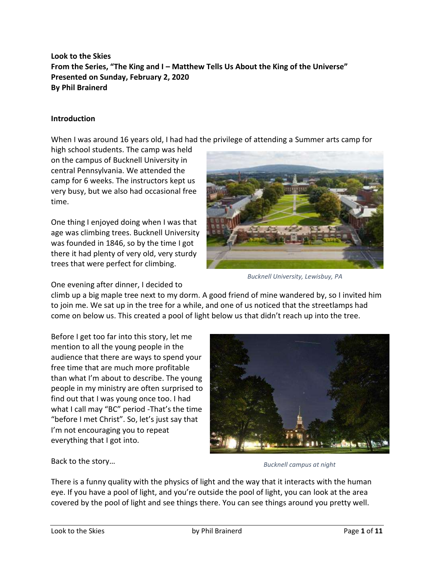**Look to the Skies From the Series, "The King and I – Matthew Tells Us About the King of the Universe" Presented on Sunday, February 2, 2020 By Phil Brainerd**

# **Introduction**

When I was around 16 years old, I had had the privilege of attending a Summer arts camp for

high school students. The camp was held on the campus of Bucknell University in central Pennsylvania. We attended the camp for 6 weeks. The instructors kept us very busy, but we also had occasional free time.

One thing I enjoyed doing when I was that age was climbing trees. Bucknell University was founded in 1846, so by the time I got there it had plenty of very old, very sturdy trees that were perfect for climbing.



*Bucknell University, Lewisbuy, PA*

One evening after dinner, I decided to

climb up a big maple tree next to my dorm. A good friend of mine wandered by, so I invited him to join me. We sat up in the tree for a while, and one of us noticed that the streetlamps had come on below us. This created a pool of light below us that didn't reach up into the tree.

Before I get too far into this story, let me mention to all the young people in the audience that there are ways to spend your free time that are much more profitable than what I'm about to describe. The young people in my ministry are often surprised to find out that I was young once too. I had what I call may "BC" period -That's the time "before I met Christ". So, let's just say that I'm not encouraging you to repeat everything that I got into.



Back to the story…

*Bucknell campus at night*

There is a funny quality with the physics of light and the way that it interacts with the human eye. If you have a pool of light, and you're outside the pool of light, you can look at the area covered by the pool of light and see things there. You can see things around you pretty well.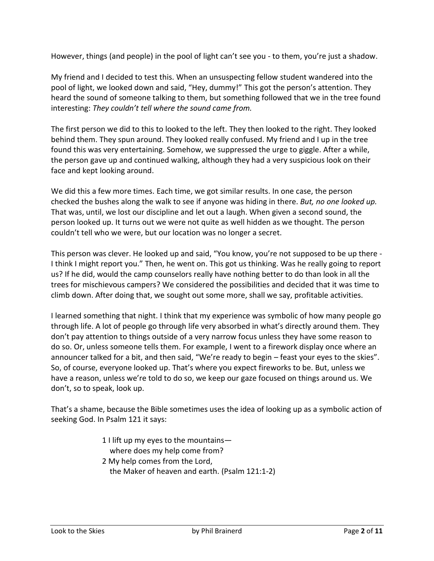However, things (and people) in the pool of light can't see you - to them, you're just a shadow.

My friend and I decided to test this. When an unsuspecting fellow student wandered into the pool of light, we looked down and said, "Hey, dummy!" This got the person's attention. They heard the sound of someone talking to them, but something followed that we in the tree found interesting: *They couldn't tell where the sound came from.*

The first person we did to this to looked to the left. They then looked to the right. They looked behind them. They spun around. They looked really confused. My friend and I up in the tree found this was very entertaining. Somehow, we suppressed the urge to giggle. After a while, the person gave up and continued walking, although they had a very suspicious look on their face and kept looking around.

We did this a few more times. Each time, we got similar results. In one case, the person checked the bushes along the walk to see if anyone was hiding in there. *But, no one looked up.* That was, until, we lost our discipline and let out a laugh. When given a second sound, the person looked up. It turns out we were not quite as well hidden as we thought. The person couldn't tell who we were, but our location was no longer a secret.

This person was clever. He looked up and said, "You know, you're not supposed to be up there - I think I might report you." Then, he went on. This got us thinking. Was he really going to report us? If he did, would the camp counselors really have nothing better to do than look in all the trees for mischievous campers? We considered the possibilities and decided that it was time to climb down. After doing that, we sought out some more, shall we say, profitable activities.

I learned something that night. I think that my experience was symbolic of how many people go through life. A lot of people go through life very absorbed in what's directly around them. They don't pay attention to things outside of a very narrow focus unless they have some reason to do so. Or, unless someone tells them. For example, I went to a firework display once where an announcer talked for a bit, and then said, "We're ready to begin – feast your eyes to the skies". So, of course, everyone looked up. That's where you expect fireworks to be. But, unless we have a reason, unless we're told to do so, we keep our gaze focused on things around us. We don't, so to speak, look up.

That's a shame, because the Bible sometimes uses the idea of looking up as a symbolic action of seeking God. In Psalm 121 it says:

- 1 I lift up my eyes to the mountains where does my help come from?
- 2 My help comes from the Lord, the Maker of heaven and earth. (Psalm 121:1-2)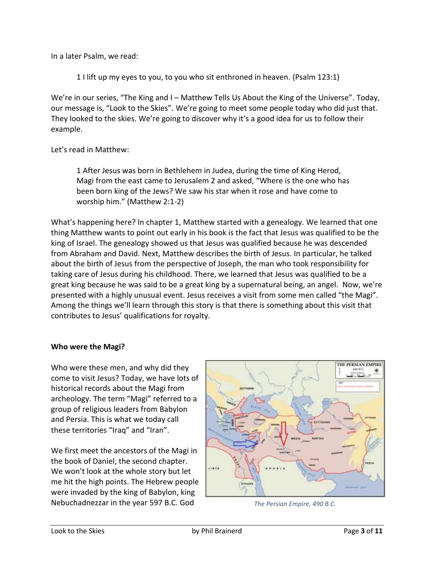In a later Psalm, we read:

1 I lift up my eyes to you, to you who sit enthroned in heaven. (Psalm 123:1)

We're in our series, "The King and I – Matthew Tells Us About the King of the Universe". Today, our message is, "Look to the Skies". We're going to meet some people today who did just that. They looked to the skies. We're going to discover why it's a good idea for us to follow their example.

Let's read in Matthew:

1 After Jesus was born in Bethlehem in Judea, during the time of King Herod, Magi from the east came to Jerusalem 2 and asked, "Where is the one who has been born king of the Jews? We saw his star when it rose and have come to worship him." (Matthew 2:1-2)

What's happening here? In chapter 1, Matthew started with a genealogy. We learned that one thing Matthew wants to point out early in his book is the fact that Jesus was qualified to be the king of Israel. The genealogy showed us that Jesus was qualified because he was descended from Abraham and David. Next, Matthew describes the birth of Jesus. In particular, he talked about the birth of Jesus from the perspective of Joseph, the man who took responsibility for taking care of Jesus during his childhood. There, we learned that Jesus was qualified to be a great king because he was said to be a great king by a supernatural being, an angel. Now, we're presented with a highly unusual event. Jesus receives a visit from some men called "the Magi". Among the things we'll learn through this story is that there is something about this visit that contributes to Jesus' qualifications for royalty.

# **Who were the Magi?**

Who were these men, and why did they come to visit Jesus? Today, we have lots of historical records about the Magi from archeology. The term "Magi" referred to a group of religious leaders from Babylon and Persia. This is what we today call these territories "Iraq" and "Iran".

We first meet the ancestors of the Magi in the book of Daniel, the second chapter. We won't look at the whole story but let me hit the high points. The Hebrew people were invaded by the king of Babylon, king Nebuchadnezzar in the year 597 B.C. God *The Persian Empire, 490 B.C.*

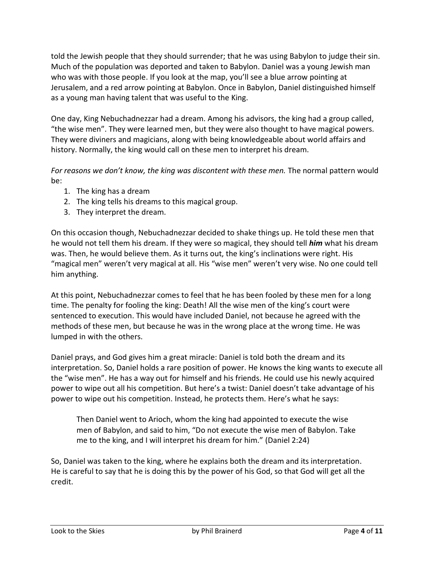told the Jewish people that they should surrender; that he was using Babylon to judge their sin. Much of the population was deported and taken to Babylon. Daniel was a young Jewish man who was with those people. If you look at the map, you'll see a blue arrow pointing at Jerusalem, and a red arrow pointing at Babylon. Once in Babylon, Daniel distinguished himself as a young man having talent that was useful to the King.

One day, King Nebuchadnezzar had a dream. Among his advisors, the king had a group called, "the wise men". They were learned men, but they were also thought to have magical powers. They were diviners and magicians, along with being knowledgeable about world affairs and history. Normally, the king would call on these men to interpret his dream.

*For reasons we don't know, the king was discontent with these men.* The normal pattern would be:

- 1. The king has a dream
- 2. The king tells his dreams to this magical group.
- 3. They interpret the dream.

On this occasion though, Nebuchadnezzar decided to shake things up. He told these men that he would not tell them his dream. If they were so magical, they should tell *him* what his dream was. Then, he would believe them. As it turns out, the king's inclinations were right. His "magical men" weren't very magical at all. His "wise men" weren't very wise. No one could tell him anything.

At this point, Nebuchadnezzar comes to feel that he has been fooled by these men for a long time. The penalty for fooling the king: Death! All the wise men of the king's court were sentenced to execution. This would have included Daniel, not because he agreed with the methods of these men, but because he was in the wrong place at the wrong time. He was lumped in with the others.

Daniel prays, and God gives him a great miracle: Daniel is told both the dream and its interpretation. So, Daniel holds a rare position of power. He knows the king wants to execute all the "wise men". He has a way out for himself and his friends. He could use his newly acquired power to wipe out all his competition. But here's a twist: Daniel doesn't take advantage of his power to wipe out his competition. Instead, he protects them. Here's what he says:

Then Daniel went to Arioch, whom the king had appointed to execute the wise men of Babylon, and said to him, "Do not execute the wise men of Babylon. Take me to the king, and I will interpret his dream for him." (Daniel 2:24)

So, Daniel was taken to the king, where he explains both the dream and its interpretation. He is careful to say that he is doing this by the power of his God, so that God will get all the credit.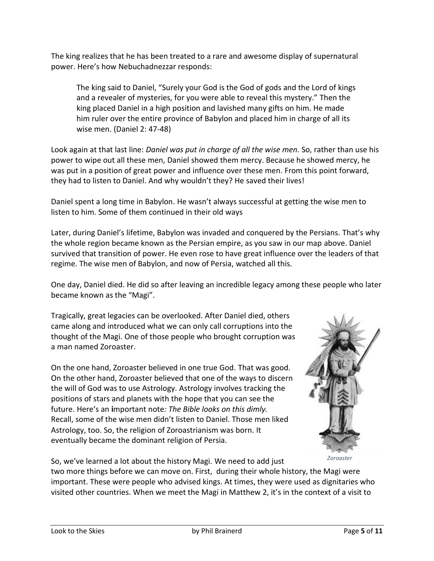The king realizes that he has been treated to a rare and awesome display of supernatural power. Here's how Nebuchadnezzar responds:

The king said to Daniel, "Surely your God is the God of gods and the Lord of kings and a revealer of mysteries, for you were able to reveal this mystery." Then the king placed Daniel in a high position and lavished many gifts on him. He made him ruler over the entire province of Babylon and placed him in charge of all its wise men. (Daniel 2: 47-48)

Look again at that last line: *Daniel was put in charge of all the wise men.* So, rather than use his power to wipe out all these men, Daniel showed them mercy. Because he showed mercy, he was put in a position of great power and influence over these men. From this point forward, they had to listen to Daniel. And why wouldn't they? He saved their lives!

Daniel spent a long time in Babylon. He wasn't always successful at getting the wise men to listen to him. Some of them continued in their old ways

Later, during Daniel's lifetime, Babylon was invaded and conquered by the Persians. That's why the whole region became known as the Persian empire, as you saw in our map above. Daniel survived that transition of power. He even rose to have great influence over the leaders of that regime. The wise men of Babylon, and now of Persia, watched all this.

One day, Daniel died. He did so after leaving an incredible legacy among these people who later became known as the "Magi".

Tragically, great legacies can be overlooked. After Daniel died, others came along and introduced what we can only call corruptions into the thought of the Magi. One of those people who brought corruption was a man named Zoroaster.

On the one hand, Zoroaster believed in one true God. That was good. On the other hand, Zoroaster believed that one of the ways to discern the will of God was to use Astrology. Astrology involves tracking the positions of stars and planets with the hope that you can see the future. Here's an **i**mportant note*: The Bible looks on this dimly.* Recall, some of the wise men didn't listen to Daniel. Those men liked Astrology, too. So, the religion of Zoroastrianism was born. It eventually became the dominant religion of Persia.



*Zoroaster*

So, we've learned a lot about the history Magi. We need to add just two more things before we can move on. First, during their whole history, the Magi were important. These were people who advised kings. At times, they were used as dignitaries who visited other countries. When we meet the Magi in Matthew 2, it's in the context of a visit to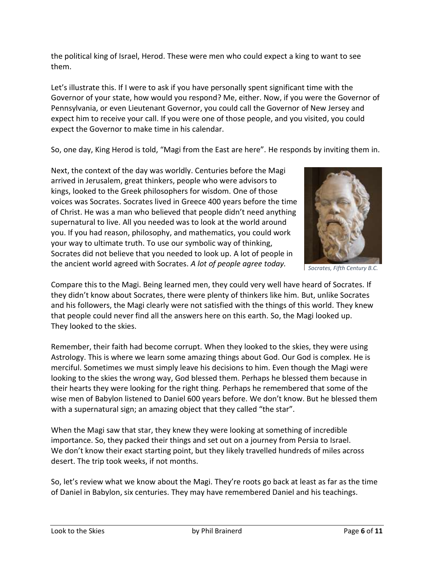the political king of Israel, Herod. These were men who could expect a king to want to see them.

Let's illustrate this. If I were to ask if you have personally spent significant time with the Governor of your state, how would you respond? Me, either. Now, if you were the Governor of Pennsylvania, or even Lieutenant Governor, you could call the Governor of New Jersey and expect him to receive your call. If you were one of those people, and you visited, you could expect the Governor to make time in his calendar.

So, one day, King Herod is told, "Magi from the East are here". He responds by inviting them in.

Next, the context of the day was worldly. Centuries before the Magi arrived in Jerusalem, great thinkers, people who were advisors to kings, looked to the Greek philosophers for wisdom. One of those voices was Socrates. Socrates lived in Greece 400 years before the time of Christ. He was a man who believed that people didn't need anything supernatural to live. All you needed was to look at the world around you. If you had reason, philosophy, and mathematics, you could work your way to ultimate truth. To use our symbolic way of thinking, Socrates did not believe that you needed to look up. A lot of people in the ancient world agreed with Socrates. *A lot of people agree today.*



*Socrates, Fifth Century B.C.*

Compare this to the Magi. Being learned men, they could very well have heard of Socrates. If they didn't know about Socrates, there were plenty of thinkers like him. But, unlike Socrates and his followers, the Magi clearly were not satisfied with the things of this world. They knew that people could never find all the answers here on this earth. So, the Magi looked up. They looked to the skies.

Remember, their faith had become corrupt. When they looked to the skies, they were using Astrology. This is where we learn some amazing things about God. Our God is complex. He is merciful. Sometimes we must simply leave his decisions to him. Even though the Magi were looking to the skies the wrong way, God blessed them. Perhaps he blessed them because in their hearts they were looking for the right thing. Perhaps he remembered that some of the wise men of Babylon listened to Daniel 600 years before. We don't know. But he blessed them with a supernatural sign; an amazing object that they called "the star".

When the Magi saw that star, they knew they were looking at something of incredible importance. So, they packed their things and set out on a journey from Persia to Israel. We don't know their exact starting point, but they likely travelled hundreds of miles across desert. The trip took weeks, if not months.

So, let's review what we know about the Magi. They're roots go back at least as far as the time of Daniel in Babylon, six centuries. They may have remembered Daniel and his teachings.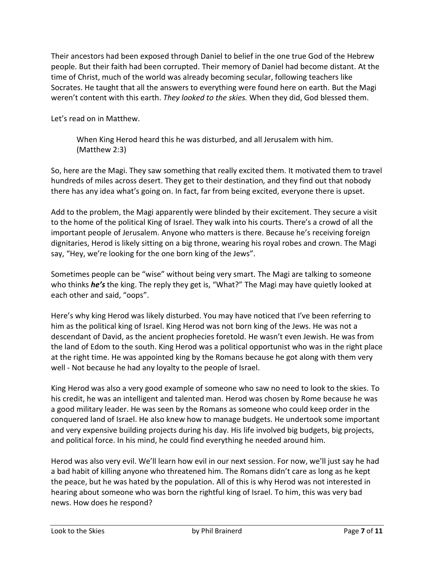Their ancestors had been exposed through Daniel to belief in the one true God of the Hebrew people. But their faith had been corrupted. Their memory of Daniel had become distant. At the time of Christ, much of the world was already becoming secular, following teachers like Socrates. He taught that all the answers to everything were found here on earth. But the Magi weren't content with this earth. *They looked to the skies.* When they did, God blessed them.

Let's read on in Matthew.

When King Herod heard this he was disturbed, and all Jerusalem with him. (Matthew 2:3)

So, here are the Magi. They saw something that really excited them. It motivated them to travel hundreds of miles across desert. They get to their destination*,* and they find out that nobody there has any idea what's going on. In fact, far from being excited, everyone there is upset.

Add to the problem, the Magi apparently were blinded by their excitement. They secure a visit to the home of the political King of Israel. They walk into his courts. There's a crowd of all the important people of Jerusalem. Anyone who matters is there. Because he's receiving foreign dignitaries, Herod is likely sitting on a big throne, wearing his royal robes and crown. The Magi say, "Hey, we're looking for the one born king of the Jews".

Sometimes people can be "wise" without being very smart. The Magi are talking to someone who thinks *he's* the king. The reply they get is, "What?" The Magi may have quietly looked at each other and said, "oops".

Here's why king Herod was likely disturbed. You may have noticed that I've been referring to him as the political king of Israel. King Herod was not born king of the Jews. He was not a descendant of David, as the ancient prophecies foretold. He wasn't even Jewish. He was from the land of Edom to the south. King Herod was a political opportunist who was in the right place at the right time. He was appointed king by the Romans because he got along with them very well - Not because he had any loyalty to the people of Israel.

King Herod was also a very good example of someone who saw no need to look to the skies. To his credit, he was an intelligent and talented man. Herod was chosen by Rome because he was a good military leader. He was seen by the Romans as someone who could keep order in the conquered land of Israel. He also knew how to manage budgets. He undertook some important and very expensive building projects during his day. His life involved big budgets, big projects, and political force. In his mind, he could find everything he needed around him.

Herod was also very evil. We'll learn how evil in our next session. For now, we'll just say he had a bad habit of killing anyone who threatened him. The Romans didn't care as long as he kept the peace, but he was hated by the population. All of this is why Herod was not interested in hearing about someone who was born the rightful king of Israel. To him, this was very bad news. How does he respond?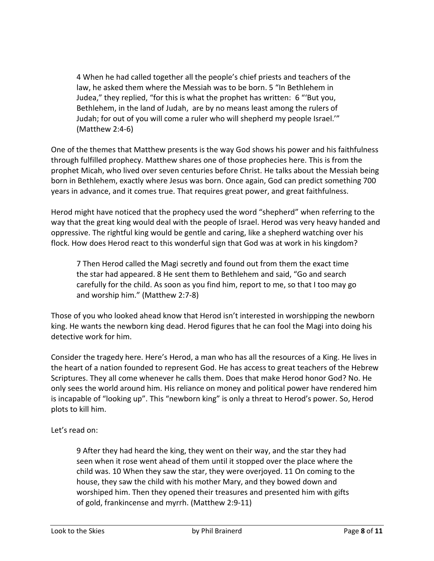4 When he had called together all the people's chief priests and teachers of the law, he asked them where the Messiah was to be born. 5 "In Bethlehem in Judea," they replied, "for this is what the prophet has written: 6 "'But you, Bethlehem, in the land of Judah, are by no means least among the rulers of Judah; for out of you will come a ruler who will shepherd my people Israel.'" (Matthew 2:4-6)

One of the themes that Matthew presents is the way God shows his power and his faithfulness through fulfilled prophecy. Matthew shares one of those prophecies here. This is from the prophet Micah, who lived over seven centuries before Christ. He talks about the Messiah being born in Bethlehem, exactly where Jesus was born. Once again, God can predict something 700 years in advance, and it comes true. That requires great power, and great faithfulness.

Herod might have noticed that the prophecy used the word "shepherd" when referring to the way that the great king would deal with the people of Israel. Herod was very heavy handed and oppressive. The rightful king would be gentle and caring, like a shepherd watching over his flock. How does Herod react to this wonderful sign that God was at work in his kingdom?

7 Then Herod called the Magi secretly and found out from them the exact time the star had appeared. 8 He sent them to Bethlehem and said, "Go and search carefully for the child. As soon as you find him, report to me, so that I too may go and worship him." (Matthew 2:7-8)

Those of you who looked ahead know that Herod isn't interested in worshipping the newborn king. He wants the newborn king dead. Herod figures that he can fool the Magi into doing his detective work for him.

Consider the tragedy here. Here's Herod, a man who has all the resources of a King. He lives in the heart of a nation founded to represent God. He has access to great teachers of the Hebrew Scriptures. They all come whenever he calls them. Does that make Herod honor God? No. He only sees the world around him. His reliance on money and political power have rendered him is incapable of "looking up". This "newborn king" is only a threat to Herod's power. So, Herod plots to kill him.

# Let's read on:

9 After they had heard the king, they went on their way, and the star they had seen when it rose went ahead of them until it stopped over the place where the child was. 10 When they saw the star, they were overjoyed. 11 On coming to the house, they saw the child with his mother Mary, and they bowed down and worshiped him. Then they opened their treasures and presented him with gifts of gold, frankincense and myrrh. (Matthew 2:9-11)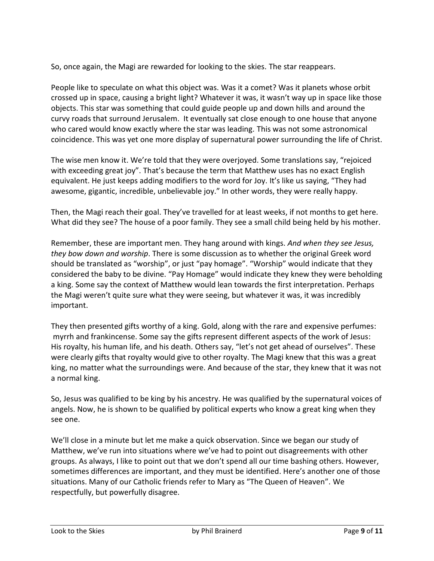So, once again, the Magi are rewarded for looking to the skies. The star reappears.

People like to speculate on what this object was. Was it a comet? Was it planets whose orbit crossed up in space, causing a bright light? Whatever it was, it wasn't way up in space like those objects. This star was something that could guide people up and down hills and around the curvy roads that surround Jerusalem. It eventually sat close enough to one house that anyone who cared would know exactly where the star was leading. This was not some astronomical coincidence. This was yet one more display of supernatural power surrounding the life of Christ.

The wise men know it. We're told that they were overjoyed. Some translations say, "rejoiced with exceeding great joy". That's because the term that Matthew uses has no exact English equivalent. He just keeps adding modifiers to the word for Joy. It's like us saying, "They had awesome, gigantic, incredible, unbelievable joy." In other words, they were really happy.

Then, the Magi reach their goal. They've travelled for at least weeks, if not months to get here. What did they see? The house of a poor family. They see a small child being held by his mother.

Remember, these are important men. They hang around with kings. *And when they see Jesus, they bow down and worship*. There is some discussion as to whether the original Greek word should be translated as "worship", or just "pay homage". "Worship" would indicate that they considered the baby to be divine. "Pay Homage" would indicate they knew they were beholding a king. Some say the context of Matthew would lean towards the first interpretation. Perhaps the Magi weren't quite sure what they were seeing, but whatever it was, it was incredibly important.

They then presented gifts worthy of a king. Gold, along with the rare and expensive perfumes: myrrh and frankincense. Some say the gifts represent different aspects of the work of Jesus: His royalty, his human life, and his death. Others say, "let's not get ahead of ourselves". These were clearly gifts that royalty would give to other royalty. The Magi knew that this was a great king, no matter what the surroundings were. And because of the star, they knew that it was not a normal king.

So, Jesus was qualified to be king by his ancestry. He was qualified by the supernatural voices of angels. Now, he is shown to be qualified by political experts who know a great king when they see one.

We'll close in a minute but let me make a quick observation. Since we began our study of Matthew, we've run into situations where we've had to point out disagreements with other groups. As always, I like to point out that we don't spend all our time bashing others. However, sometimes differences are important, and they must be identified. Here's another one of those situations. Many of our Catholic friends refer to Mary as "The Queen of Heaven". We respectfully, but powerfully disagree.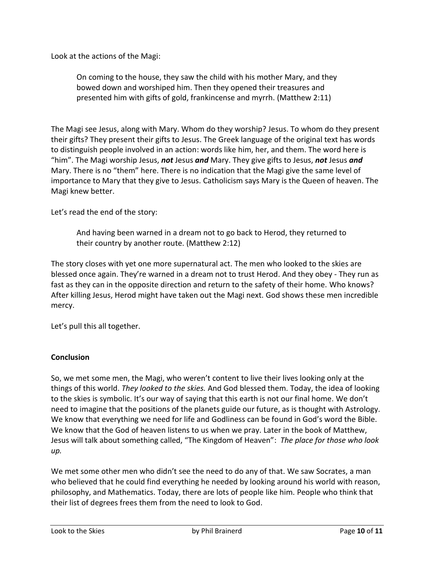Look at the actions of the Magi:

On coming to the house, they saw the child with his mother Mary, and they bowed down and worshiped him. Then they opened their treasures and presented him with gifts of gold, frankincense and myrrh. (Matthew 2:11)

The Magi see Jesus, along with Mary. Whom do they worship? Jesus. To whom do they present their gifts? They present their gifts to Jesus. The Greek language of the original text has words to distinguish people involved in an action: words like him, her, and them. The word here is "him". The Magi worship Jesus, *not* Jesus *and* Mary. They give gifts to Jesus, *not* Jesus *and* Mary. There is no "them" here. There is no indication that the Magi give the same level of importance to Mary that they give to Jesus. Catholicism says Mary is the Queen of heaven. The Magi knew better.

Let's read the end of the story:

And having been warned in a dream not to go back to Herod, they returned to their country by another route. (Matthew 2:12)

The story closes with yet one more supernatural act. The men who looked to the skies are blessed once again. They're warned in a dream not to trust Herod. And they obey - They run as fast as they can in the opposite direction and return to the safety of their home. Who knows? After killing Jesus, Herod might have taken out the Magi next. God shows these men incredible mercy.

Let's pull this all together.

# **Conclusion**

So, we met some men, the Magi, who weren't content to live their lives looking only at the things of this world. *They looked to the skies.* And God blessed them. Today, the idea of looking to the skies is symbolic. It's our way of saying that this earth is not our final home. We don't need to imagine that the positions of the planets guide our future, as is thought with Astrology. We know that everything we need for life and Godliness can be found in God's word the Bible. We know that the God of heaven listens to us when we pray. Later in the book of Matthew, Jesus will talk about something called, "The Kingdom of Heaven": *The place for those who look up.*

We met some other men who didn't see the need to do any of that. We saw Socrates, a man who believed that he could find everything he needed by looking around his world with reason, philosophy, and Mathematics. Today, there are lots of people like him. People who think that their list of degrees frees them from the need to look to God.